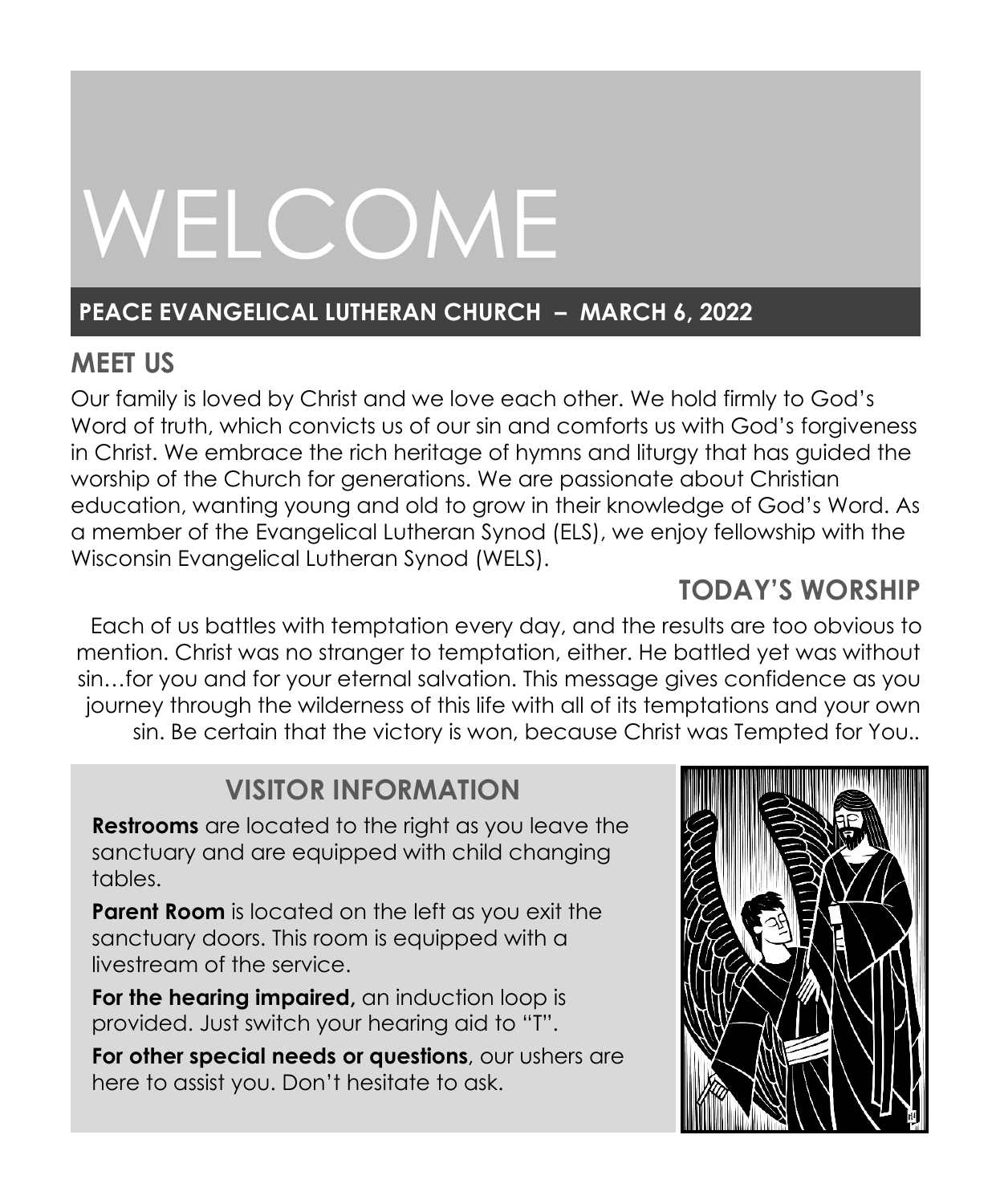# WELCOME

# **PEACE EVANGELICAL LUTHERAN CHURCH – MARCH 6, 2022**

# **MEET US**

Our family is loved by Christ and we love each other. We hold firmly to God's Word of truth, which convicts us of our sin and comforts us with God's forgiveness in Christ. We embrace the rich heritage of hymns and liturgy that has guided the worship of the Church for generations. We are passionate about Christian education, wanting young and old to grow in their knowledge of God's Word. As a member of the Evangelical Lutheran Synod (ELS), we enjoy fellowship with the Wisconsin Evangelical Lutheran Synod (WELS).

# **TODAY'S WORSHIP**

Each of us battles with temptation every day, and the results are too obvious to mention. Christ was no stranger to temptation, either. He battled yet was without sin…for you and for your eternal salvation. This message gives confidence as you journey through the wilderness of this life with all of its temptations and your own sin. Be certain that the victory is won, because Christ was Tempted for You.*.*

# **VISITOR INFORMATION**

**Restrooms** are located to the right as you leave the sanctuary and are equipped with child changing tables.

**Parent Room** is located on the left as you exit the sanctuary doors. This room is equipped with a livestream of the service.

**For the hearing impaired,** an induction loop is provided. Just switch your hearing aid to "T".

**For other special needs or questions**, our ushers are here to assist you. Don't hesitate to ask.

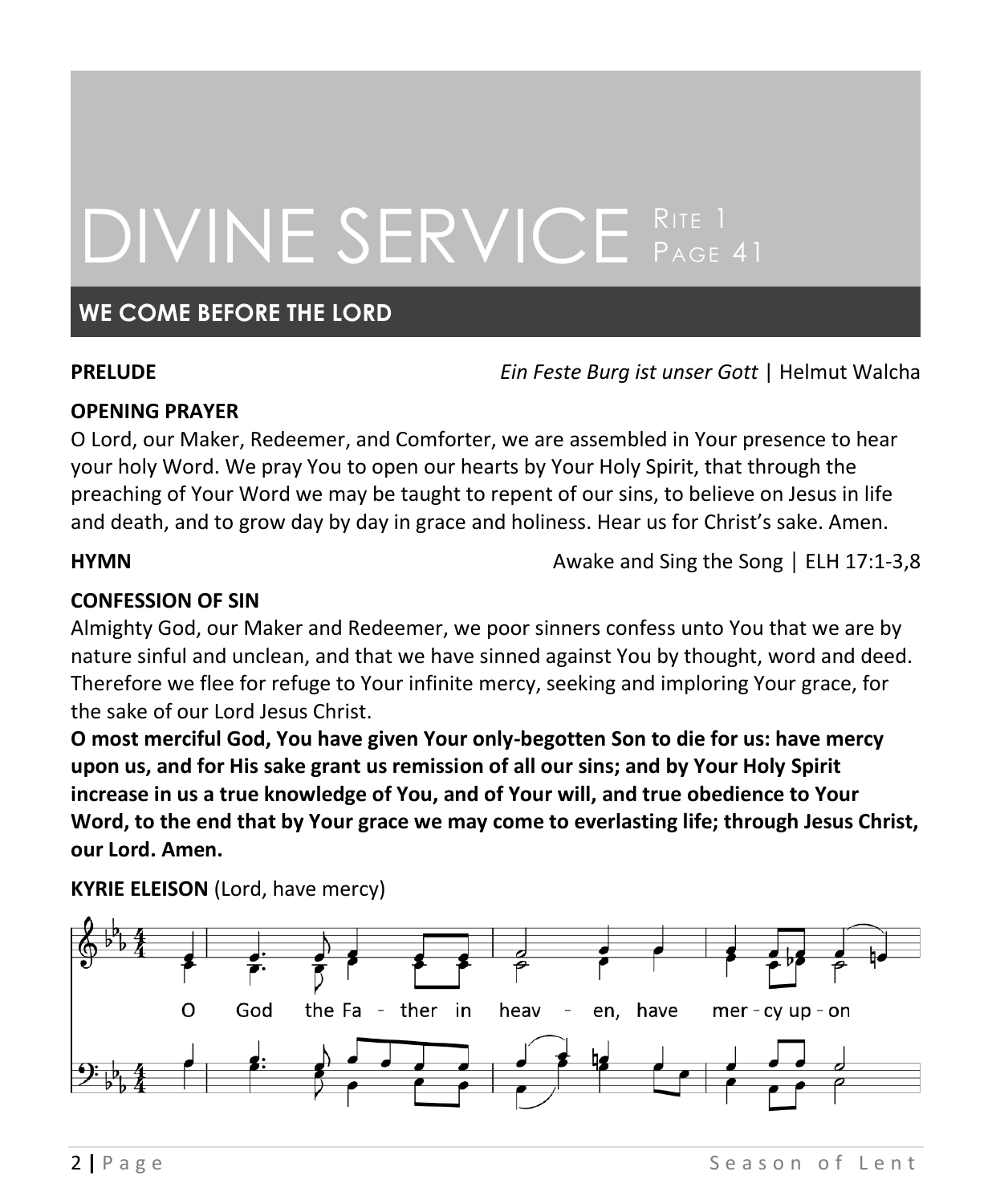# DIVINE SERVICE RITE 1

# **WE COME BEFORE THE LORD**

**PRELUDE** *Ein Feste Burg ist unser Gott* | Helmut Walcha

#### **OPENING PRAYER**

O Lord, our Maker, Redeemer, and Comforter, we are assembled in Your presence to hear your holy Word. We pray You to open our hearts by Your Holy Spirit, that through the preaching of Your Word we may be taught to repent of our sins, to believe on Jesus in life and death, and to grow day by day in grace and holiness. Hear us for Christ's sake. Amen.

**HYMN Awake and Sing the Song │ ELH 17:1-3,8** 

#### **CONFESSION OF SIN**

Almighty God, our Maker and Redeemer, we poor sinners confess unto You that we are by nature sinful and unclean, and that we have sinned against You by thought, word and deed. Therefore we flee for refuge to Your infinite mercy, seeking and imploring Your grace, for the sake of our Lord Jesus Christ.

**O most merciful God, You have given Your only-begotten Son to die for us: have mercy upon us, and for His sake grant us remission of all our sins; and by Your Holy Spirit increase in us a true knowledge of You, and of Your will, and true obedience to Your Word, to the end that by Your grace we may come to everlasting life; through Jesus Christ, our Lord. Amen.**



**KYRIE ELEISON** (Lord, have mercy)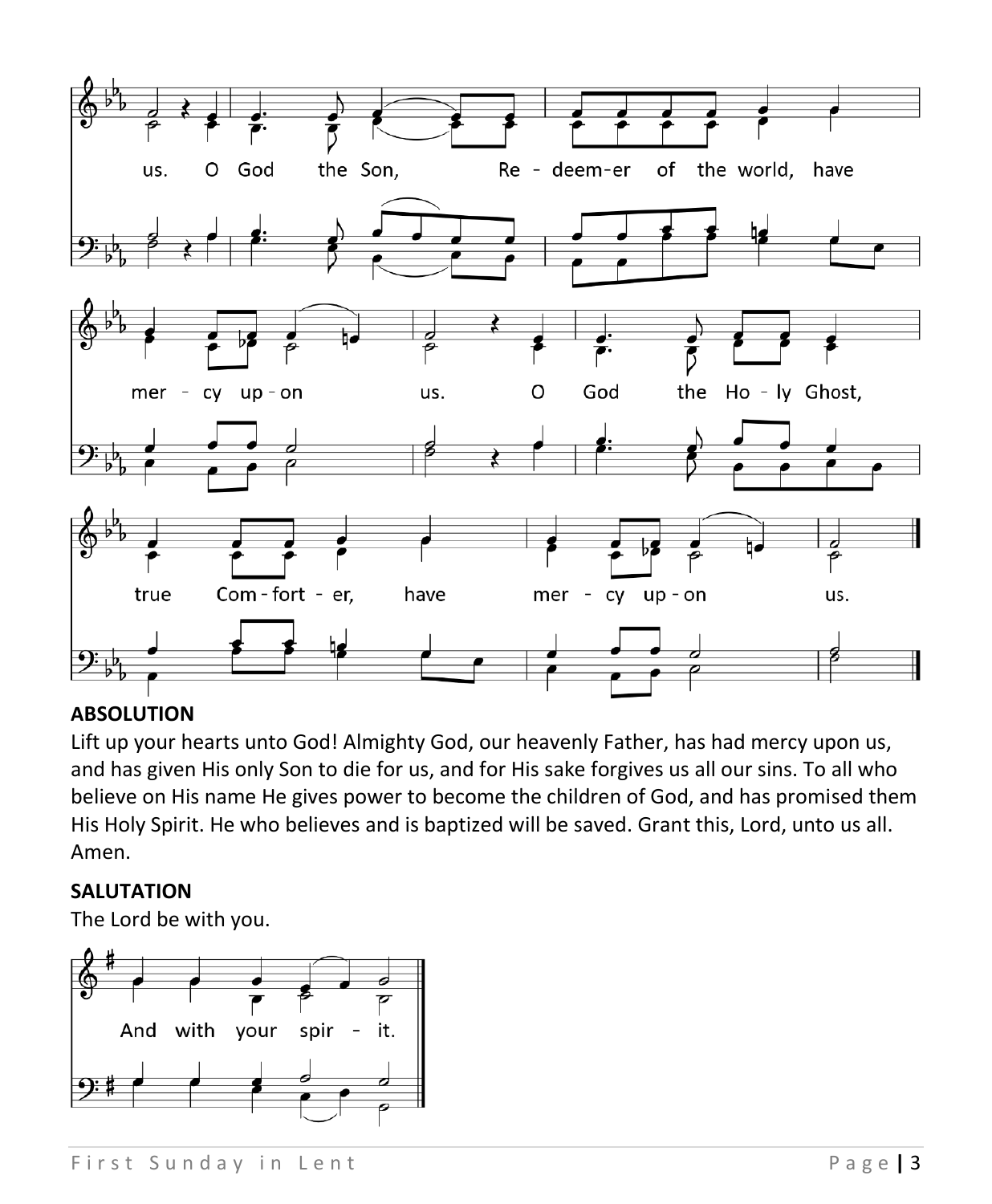

### **ABSOLUTION**

Lift up your hearts unto God! Almighty God, our heavenly Father, has had mercy upon us, and has given His only Son to die for us, and for His sake forgives us all our sins. To all who believe on His name He gives power to become the children of God, and has promised them His Holy Spirit. He who believes and is baptized will be saved. Grant this, Lord, unto us all. Amen.

#### **SALUTATION**

The Lord be with you.

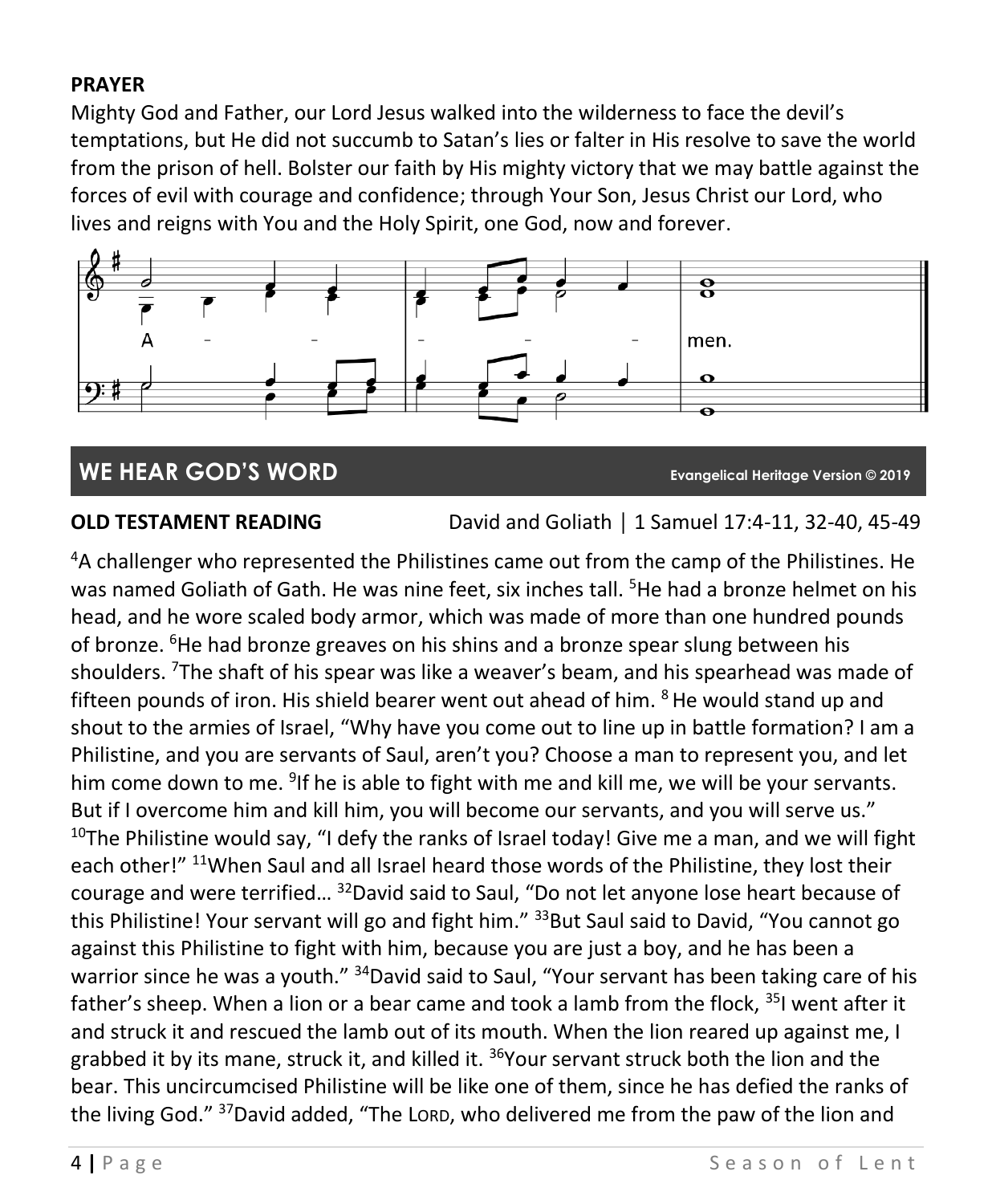### **PRAYER**

Mighty God and Father, our Lord Jesus walked into the wilderness to face the devil's temptations, but He did not succumb to Satan's lies or falter in His resolve to save the world from the prison of hell. Bolster our faith by His mighty victory that we may battle against the forces of evil with courage and confidence; through Your Son, Jesus Christ our Lord, who lives and reigns with You and the Holy Spirit, one God, now and forever.



# **WE HEAR GOD'S WORD Evangelical Heritage Version © 2019**

**OLD TESTAMENT READING** David and Goliath | 1 Samuel 17:4-11, 32-40, 45-49

<sup>4</sup>A challenger who represented the Philistines came out from the camp of the Philistines. He was named Goliath of Gath. He was nine feet, six inches tall. <sup>5</sup>He had a bronze helmet on his head, and he wore scaled body armor, which was made of more than one hundred pounds of bronze. <sup>6</sup>He had bronze greaves on his shins and a bronze spear slung between his shoulders. <sup>7</sup>The shaft of his spear was like a weaver's beam, and his spearhead was made of fifteen pounds of iron. His shield bearer went out ahead of him.  $8$  He would stand up and shout to the armies of Israel, "Why have you come out to line up in battle formation? I am a Philistine, and you are servants of Saul, aren't you? Choose a man to represent you, and let him come down to me. <sup>9</sup>If he is able to fight with me and kill me, we will be your servants. But if I overcome him and kill him, you will become our servants, and you will serve us." <sup>10</sup>The Philistine would say, "I defy the ranks of Israel today! Give me a man, and we will fight each other!" <sup>11</sup>When Saul and all Israel heard those words of the Philistine, they lost their courage and were terrified... <sup>32</sup>David said to Saul, "Do not let anyone lose heart because of this Philistine! Your servant will go and fight him." <sup>33</sup>But Saul said to David, "You cannot go against this Philistine to fight with him, because you are just a boy, and he has been a warrior since he was a youth." <sup>34</sup>David said to Saul, "Your servant has been taking care of his father's sheep. When a lion or a bear came and took a lamb from the flock, <sup>35</sup>I went after it and struck it and rescued the lamb out of its mouth. When the lion reared up against me, I grabbed it by its mane, struck it, and killed it. <sup>36</sup>Your servant struck both the lion and the bear. This uncircumcised Philistine will be like one of them, since he has defied the ranks of the living God." <sup>37</sup>David added, "The LORD, who delivered me from the paw of the lion and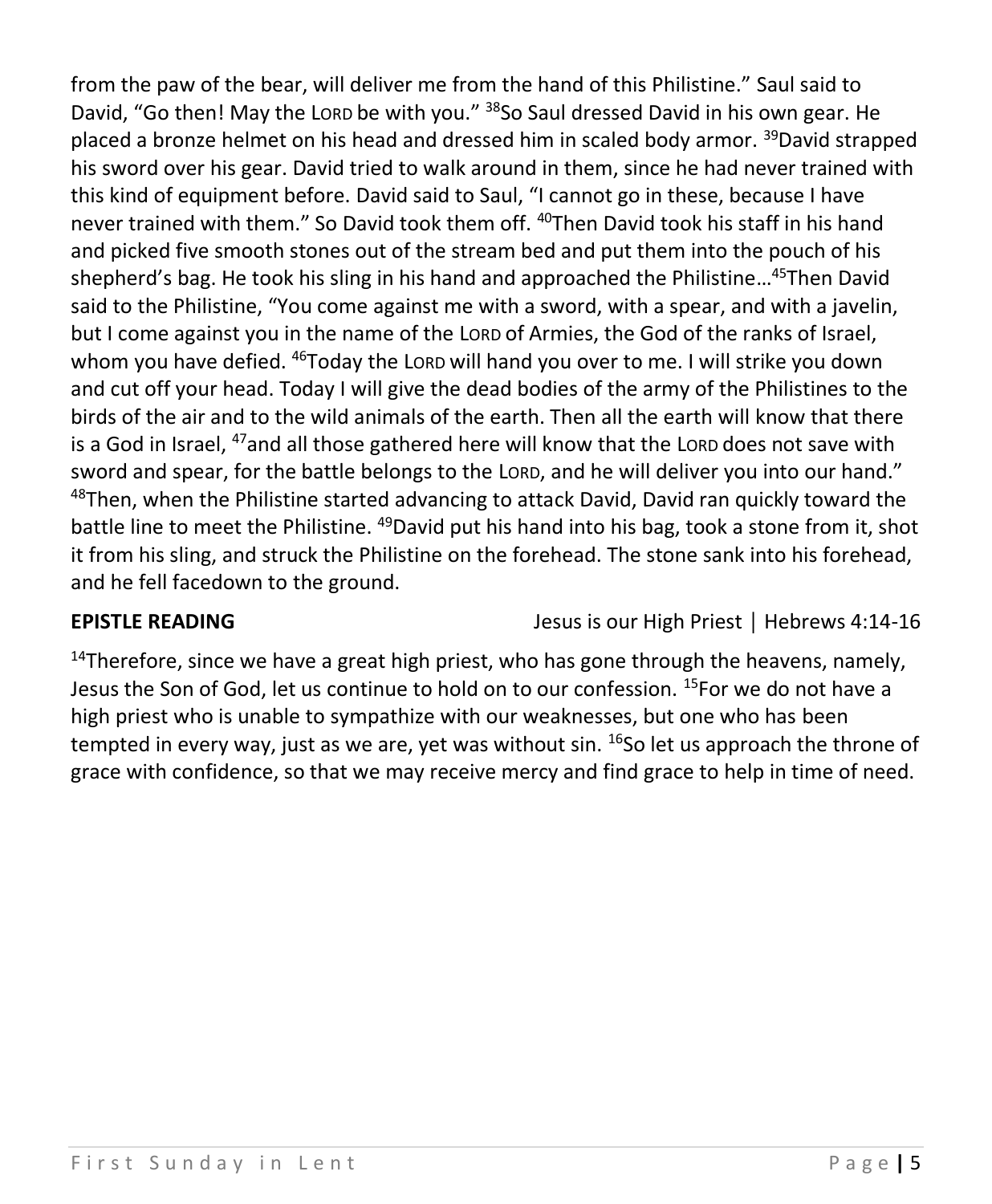from the paw of the bear, will deliver me from the hand of this Philistine." Saul said to David, "Go then! May the Lorp be with you." <sup>38</sup>So Saul dressed David in his own gear. He placed a bronze helmet on his head and dressed him in scaled body armor. <sup>39</sup>David strapped his sword over his gear. David tried to walk around in them, since he had never trained with this kind of equipment before. David said to Saul, "I cannot go in these, because I have never trained with them." So David took them off. <sup>40</sup>Then David took his staff in his hand and picked five smooth stones out of the stream bed and put them into the pouch of his shepherd's bag. He took his sling in his hand and approached the Philistine...<sup>45</sup>Then David said to the Philistine, "You come against me with a sword, with a spear, and with a javelin, but I come against you in the name of the LORD of Armies, the God of the ranks of Israel, whom you have defied. <sup>46</sup>Today the LORD will hand you over to me. I will strike you down and cut off your head. Today I will give the dead bodies of the army of the Philistines to the birds of the air and to the wild animals of the earth. Then all the earth will know that there is a God in Israel, <sup>47</sup>and all those gathered here will know that the Lorp does not save with sword and spear, for the battle belongs to the LORD, and he will deliver you into our hand."  $48$ Then, when the Philistine started advancing to attack David, David ran quickly toward the battle line to meet the Philistine. <sup>49</sup>David put his hand into his bag, took a stone from it, shot it from his sling, and struck the Philistine on the forehead. The stone sank into his forehead, and he fell facedown to the ground.

**EPISTLE READING** Jesus is our High Priest │ Hebrews 4:14-16

 $14$ Therefore, since we have a great high priest, who has gone through the heavens, namely. Jesus the Son of God, let us continue to hold on to our confession. <sup>15</sup>For we do not have a high priest who is unable to sympathize with our weaknesses, but one who has been tempted in every way, just as we are, yet was without sin.  $^{16}$ So let us approach the throne of grace with confidence, so that we may receive mercy and find grace to help in time of need.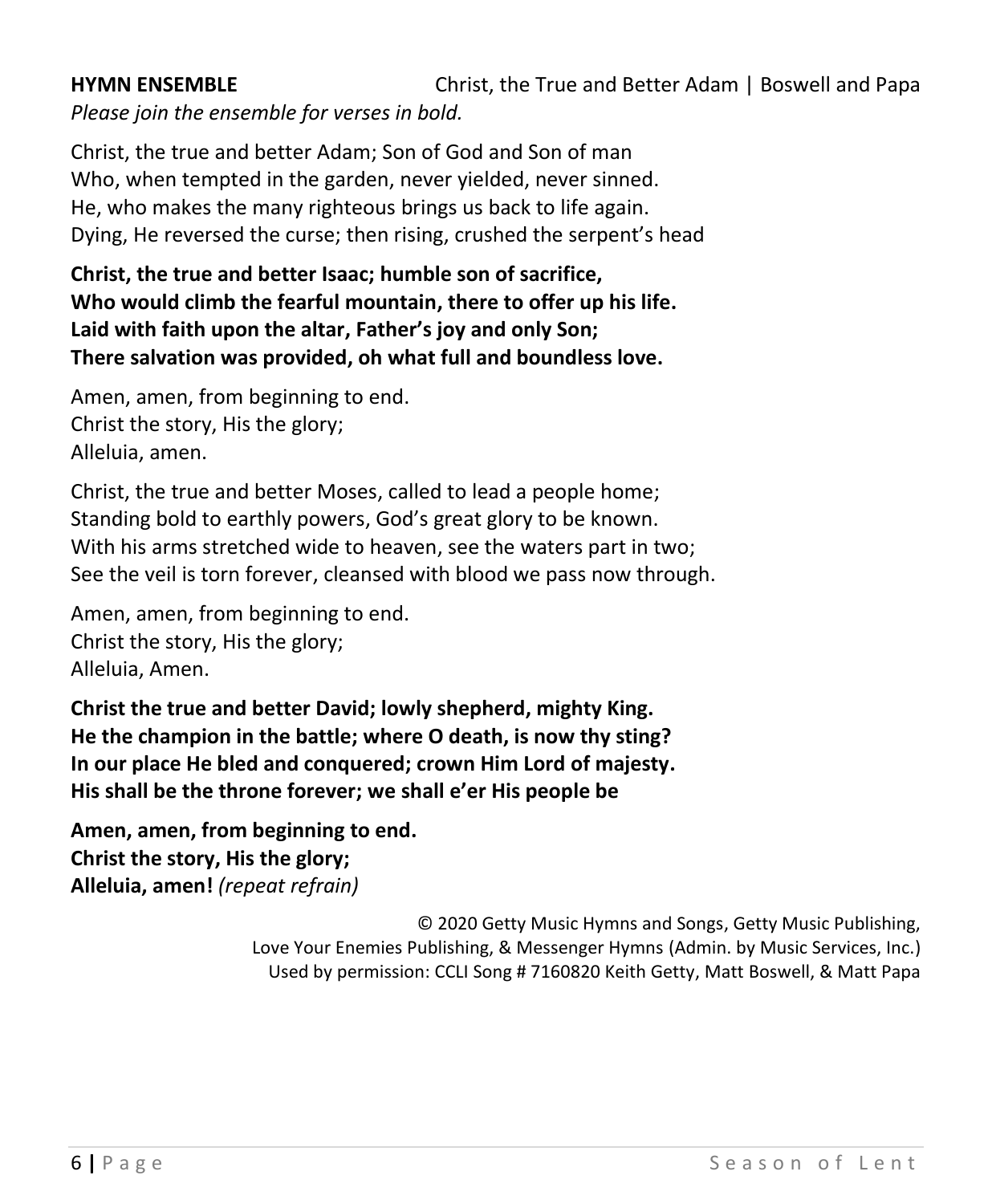## **HYMN ENSEMBLE** Christ, the True and Better Adam | Boswell and Papa *Please join the ensemble for verses in bold.*

Christ, the true and better Adam; Son of God and Son of man Who, when tempted in the garden, never yielded, never sinned. He, who makes the many righteous brings us back to life again. Dying, He reversed the curse; then rising, crushed the serpent's head

**Christ, the true and better Isaac; humble son of sacrifice, Who would climb the fearful mountain, there to offer up his life. Laid with faith upon the altar, Father's joy and only Son; There salvation was provided, oh what full and boundless love.**

Amen, amen, from beginning to end. Christ the story, His the glory; Alleluia, amen.

Christ, the true and better Moses, called to lead a people home; Standing bold to earthly powers, God's great glory to be known. With his arms stretched wide to heaven, see the waters part in two; See the veil is torn forever, cleansed with blood we pass now through.

Amen, amen, from beginning to end. Christ the story, His the glory; Alleluia, Amen.

**Christ the true and better David; lowly shepherd, mighty King. He the champion in the battle; where O death, is now thy sting? In our place He bled and conquered; crown Him Lord of majesty. His shall be the throne forever; we shall e'er His people be** 

**Amen, amen, from beginning to end. Christ the story, His the glory; Alleluia, amen!** *(repeat refrain)*

> © 2020 Getty Music Hymns and Songs, Getty Music Publishing, Love Your Enemies Publishing, & Messenger Hymns (Admin. by Music Services, Inc.) Used by permission: CCLI Song # 7160820 Keith Getty, Matt Boswell, & Matt Papa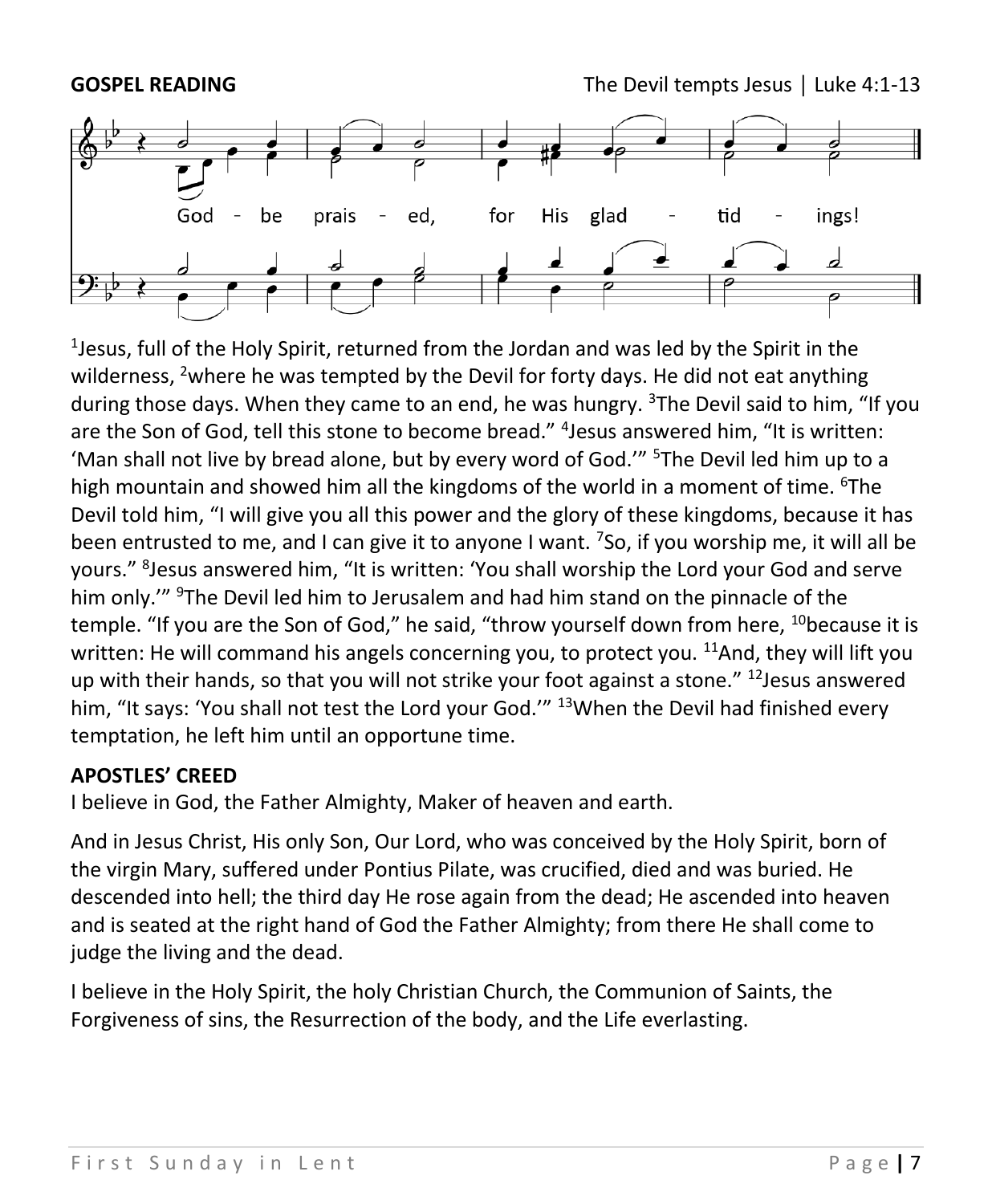

1 Jesus, full of the Holy Spirit, returned from the Jordan and was led by the Spirit in the wilderness, <sup>2</sup>where he was tempted by the Devil for forty days. He did not eat anything during those days. When they came to an end, he was hungry.  $3$ The Devil said to him, "If you are the Son of God, tell this stone to become bread." <sup>4</sup> Jesus answered him, "It is written: 'Man shall not live by bread alone, but by every word of God.'" <sup>5</sup>The Devil led him up to a high mountain and showed him all the kingdoms of the world in a moment of time. <sup>6</sup>The Devil told him, "I will give you all this power and the glory of these kingdoms, because it has been entrusted to me, and I can give it to anyone I want. <sup>7</sup>So, if you worship me, it will all be yours." <sup>8</sup>Jesus answered him, "It is written: 'You shall worship the Lord your God and serve him only." <sup>9</sup>The Devil led him to Jerusalem and had him stand on the pinnacle of the temple. "If you are the Son of God," he said, "throw yourself down from here, <sup>10</sup>because it is written: He will command his angels concerning you, to protect you. <sup>11</sup>And, they will lift you up with their hands, so that you will not strike your foot against a stone."  $^{12}$  Jesus answered him, "It says: 'You shall not test the Lord your God.'" <sup>13</sup>When the Devil had finished every temptation, he left him until an opportune time.

#### **APOSTLES' CREED**

I believe in God, the Father Almighty, Maker of heaven and earth.

And in Jesus Christ, His only Son, Our Lord, who was conceived by the Holy Spirit, born of the virgin Mary, suffered under Pontius Pilate, was crucified, died and was buried. He descended into hell; the third day He rose again from the dead; He ascended into heaven and is seated at the right hand of God the Father Almighty; from there He shall come to judge the living and the dead.

I believe in the Holy Spirit, the holy Christian Church, the Communion of Saints, the Forgiveness of sins, the Resurrection of the body, and the Life everlasting.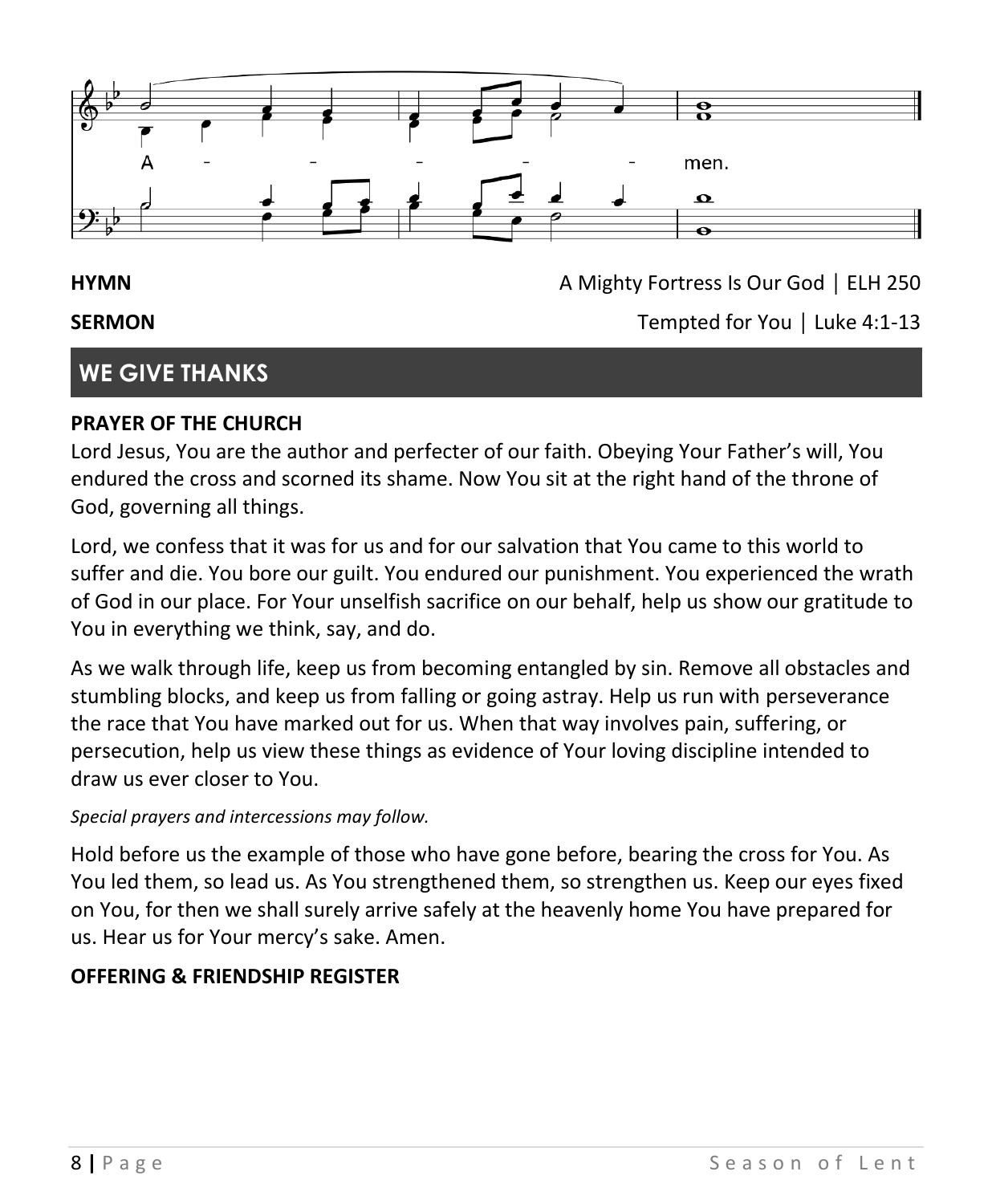

#### **HYMN A** Mighty Fortress Is Our God │ ELH 250

#### **SERMON** Tempted for You │ Luke 4:1-13

## **WE GIVE THANKS**

#### **PRAYER OF THE CHURCH**

Lord Jesus, You are the author and perfecter of our faith. Obeying Your Father's will, You endured the cross and scorned its shame. Now You sit at the right hand of the throne of God, governing all things.

Lord, we confess that it was for us and for our salvation that You came to this world to suffer and die. You bore our guilt. You endured our punishment. You experienced the wrath of God in our place. For Your unselfish sacrifice on our behalf, help us show our gratitude to You in everything we think, say, and do.

As we walk through life, keep us from becoming entangled by sin. Remove all obstacles and stumbling blocks, and keep us from falling or going astray. Help us run with perseverance the race that You have marked out for us. When that way involves pain, suffering, or persecution, help us view these things as evidence of Your loving discipline intended to draw us ever closer to You.

#### *Special prayers and intercessions may follow.*

Hold before us the example of those who have gone before, bearing the cross for You. As You led them, so lead us. As You strengthened them, so strengthen us. Keep our eyes fixed on You, for then we shall surely arrive safely at the heavenly home You have prepared for us. Hear us for Your mercy's sake. Amen.

#### **OFFERING & FRIENDSHIP REGISTER**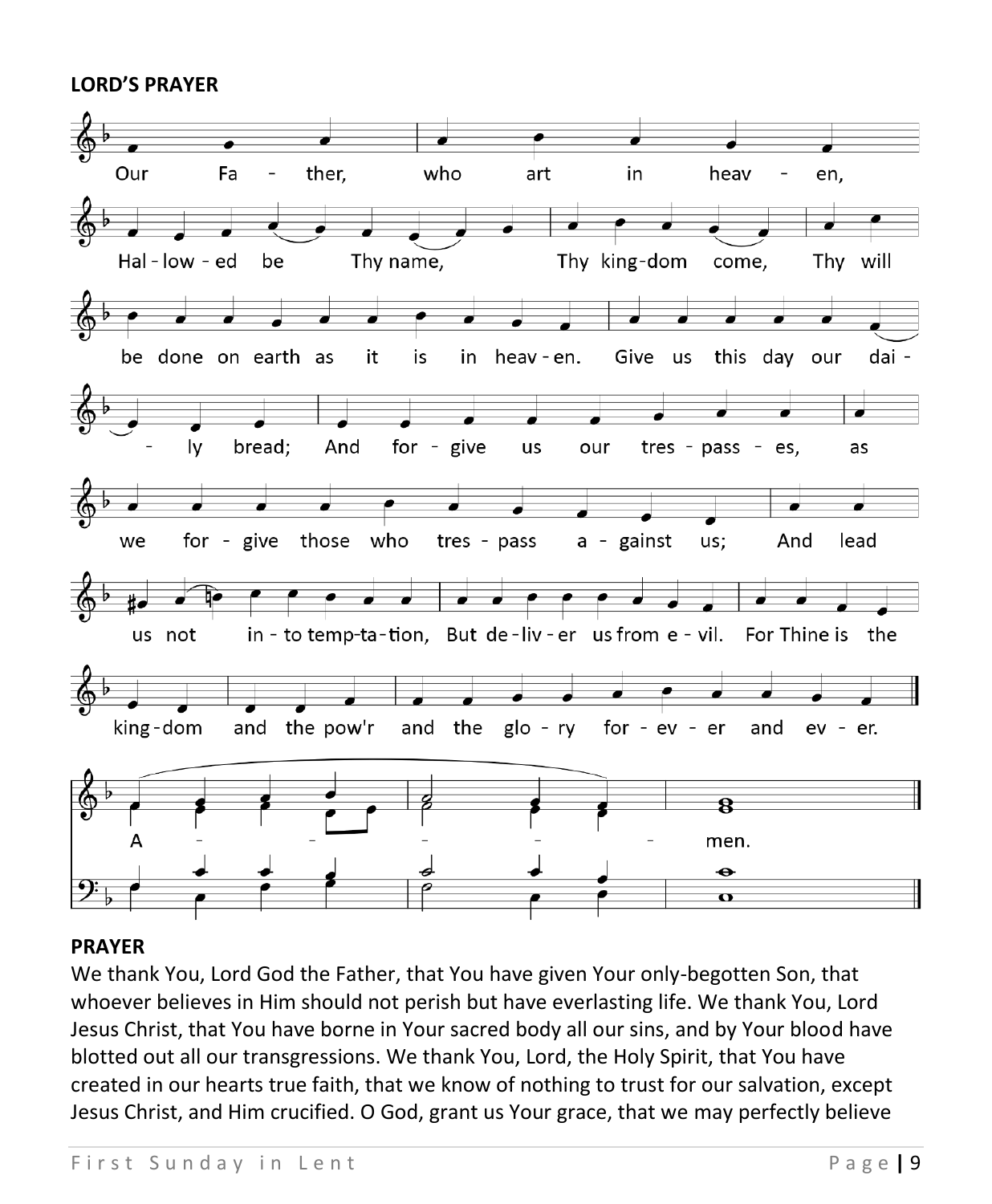#### **LORD'S PRAYER**



#### **PRAYER**

We thank You, Lord God the Father, that You have given Your only-begotten Son, that whoever believes in Him should not perish but have everlasting life. We thank You, Lord Jesus Christ, that You have borne in Your sacred body all our sins, and by Your blood have blotted out all our transgressions. We thank You, Lord, the Holy Spirit, that You have created in our hearts true faith, that we know of nothing to trust for our salvation, except Jesus Christ, and Him crucified. O God, grant us Your grace, that we may perfectly believe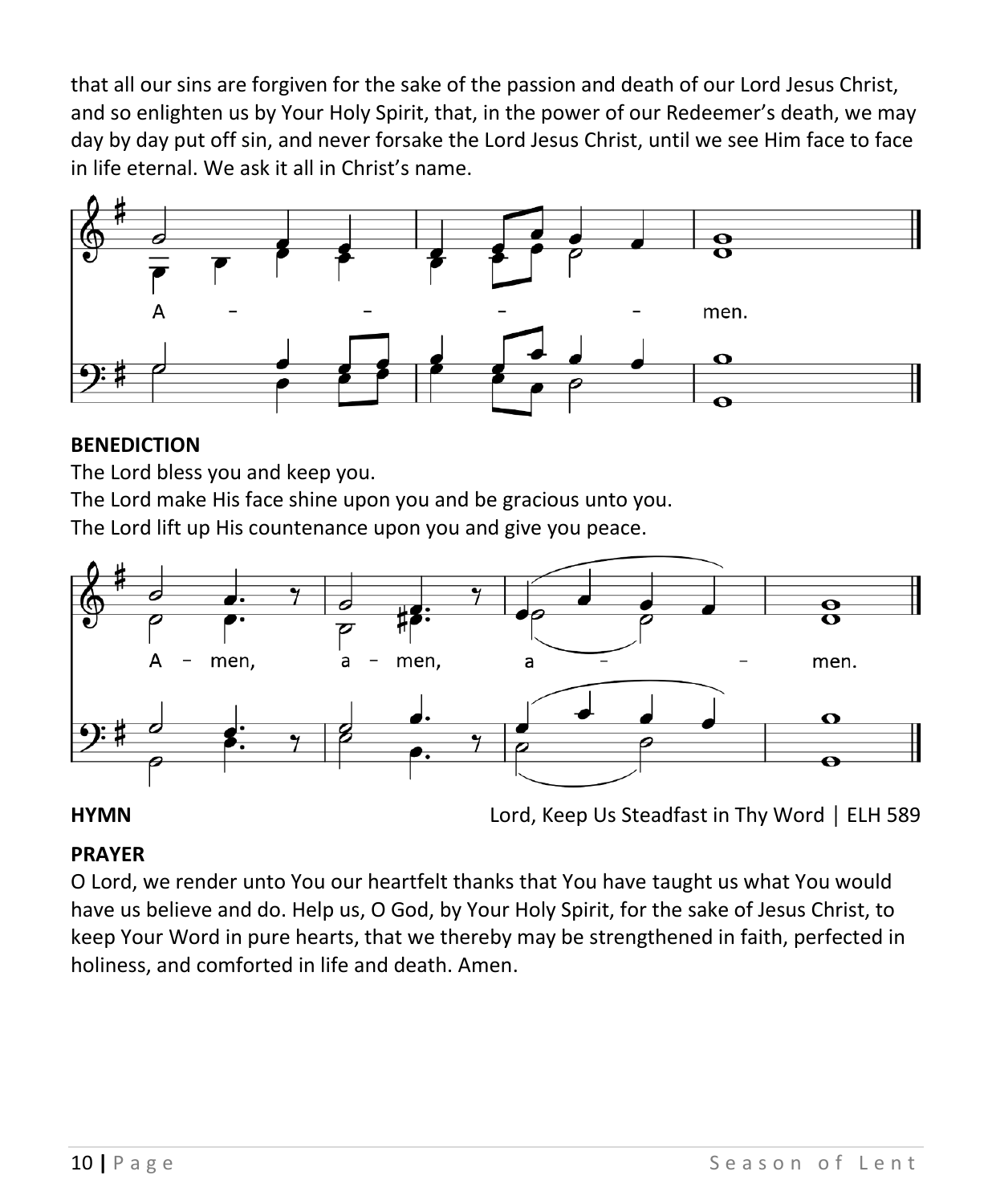that all our sins are forgiven for the sake of the passion and death of our Lord Jesus Christ, and so enlighten us by Your Holy Spirit, that, in the power of our Redeemer's death, we may day by day put off sin, and never forsake the Lord Jesus Christ, until we see Him face to face in life eternal. We ask it all in Christ's name.



#### **BENEDICTION**

The Lord bless you and keep you.

The Lord make His face shine upon you and be gracious unto you.

The Lord lift up His countenance upon you and give you peace.



**HYMN** Lord, Keep Us Steadfast in Thy Word │ ELH 589

#### **PRAYER**

O Lord, we render unto You our heartfelt thanks that You have taught us what You would have us believe and do. Help us, O God, by Your Holy Spirit, for the sake of Jesus Christ, to keep Your Word in pure hearts, that we thereby may be strengthened in faith, perfected in holiness, and comforted in life and death. Amen.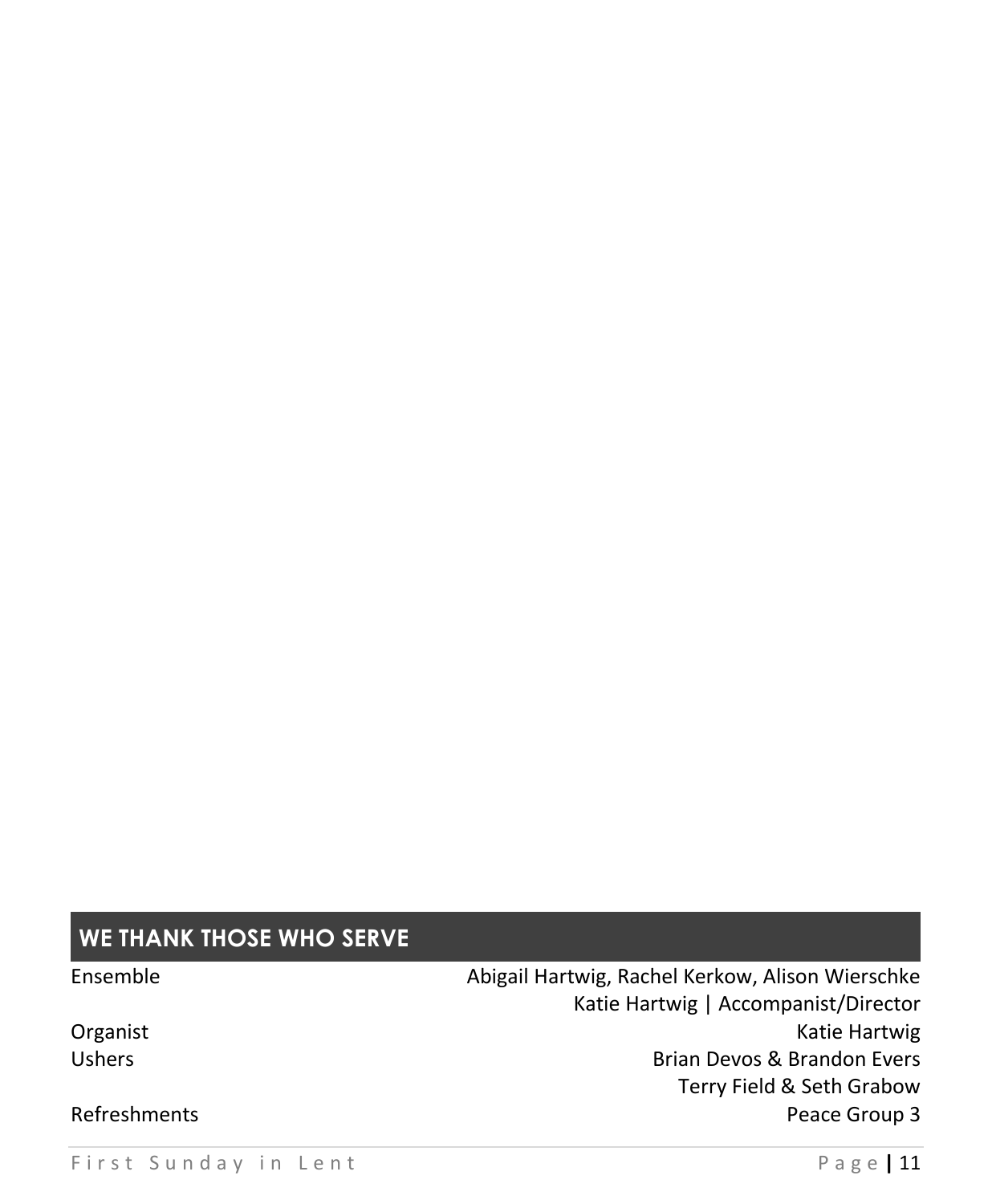# **WE THANK THOSE WHO SERVE**

Ensemble **Abigail Hartwig, Rachel Kerkow, Alison Wierschke** Katie Hartwig | Accompanist/Director Organist **Katie Hartwig** Ushers **Brian Devos & Brandon Evers** Terry Field & Seth Grabow Refreshments **Peace Group 3**